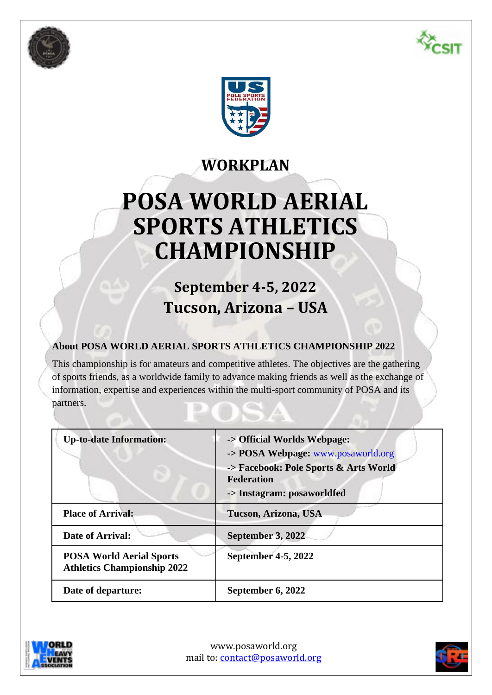





# **WORKPLAN**

# **POSA WORLD AERIAL SPORTS ATHLETICS CHAMPIONSHIP**

# **September 4-5, 2022 Tucson, Arizona – USA**

# **About POSA WORLD AERIAL SPORTS ATHLETICS CHAMPIONSHIP 2022**

This championship is for amateurs and competitive athletes. The objectives are the gathering of sports friends, as a worldwide family to advance making friends as well as the exchange of information, expertise and experiences within the multi-sport community of POSA and its partners.

| <b>Up-to-date Information:</b>                                        | -> Official Worlds Webpage:<br>-> POSA Webpage: www.posaworld.org<br>-> Facebook: Pole Sports & Arts World<br><b>Federation</b><br>-> Instagram: posaworldfed |
|-----------------------------------------------------------------------|---------------------------------------------------------------------------------------------------------------------------------------------------------------|
| <b>Place of Arrival:</b>                                              | Tucson, Arizona, USA                                                                                                                                          |
| Date of Arrival:                                                      | September 3, 2022                                                                                                                                             |
| <b>POSA World Aerial Sports</b><br><b>Athletics Championship 2022</b> | September 4-5, 2022                                                                                                                                           |
| Date of departure:                                                    | September 6, 2022                                                                                                                                             |



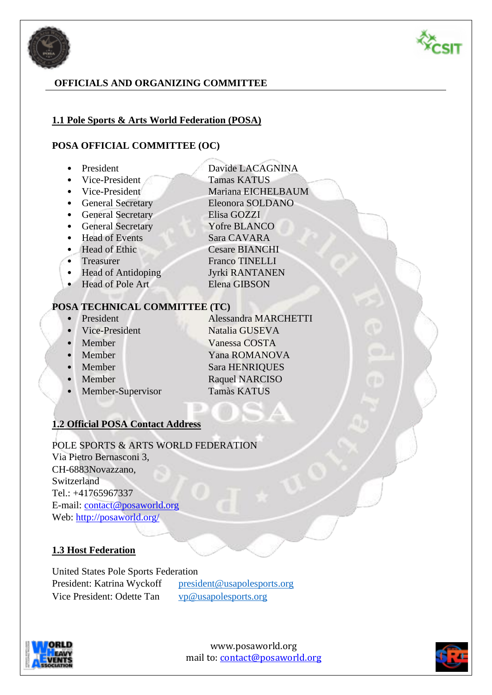



# **OFFICIALS AND ORGANIZING COMMITTEE**

#### **1.1 Pole Sports & Arts World Federation (POSA)**

#### **POSA OFFICIAL COMMITTEE (OC)**

- 
- Vice-President Tamas KATUS
- President Davide LACAGNINA
- Vice-President Mariana EICHELBAUM
- General Secretary Eleonora SOLDANO
- General Secretary Elisa GOZZI
- General Secretary Yofre BLANCO
- Head of Events Sara CAVARA
- Head of Ethic Cesare BIANCHI
- Treasurer Franco TINELLI
- Head of Antidoping Jyrki RANTANEN
- Head of Pole Art Elena GIBSON

#### **POSA TECHNICAL COMMITTEE (TC)**

- President Alessandra MARCHETTI
- Vice-President Natalia GUSEVA
- 
- 
- 
- 
- 
- Member Vanessa COSTA • Member Yana ROMANOVA • Member Sara HENRIQUES **• Member Raquel NARCISO**
- Member-Supervisor Tamàs KATUS
- 

### **1.2 Official POSA Contact Address**

#### POLE SPORTS & ARTS WORLD FEDERATION Via Pietro Bernasconi 3, CH-6883Novazzano,

Switzerland Tel.: +41765967337 E-mail: contact@posaworld.org Web: http://posaworld.org/

### **1.3 Host Federation**

United States Pole Sports Federation President: Katrina Wyckoff [president@usapolesports.org](mailto:president@usapolesports.org) Vice President: Odette Tan [vp@usapolesports.org](mailto:vp@usapolesports.org)



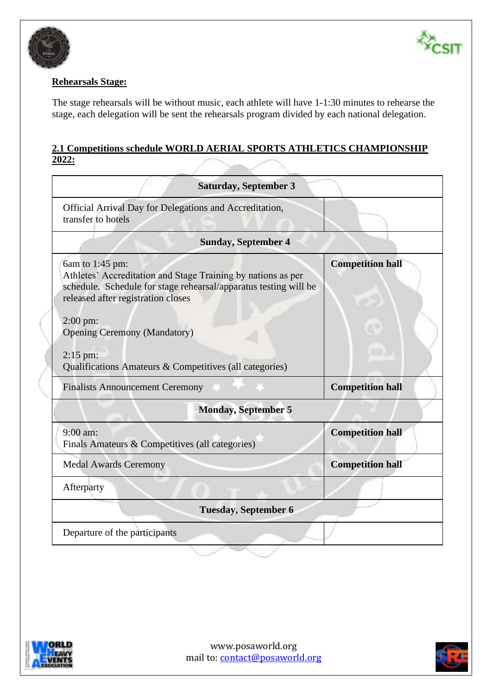



#### **Rehearsals Stage:**

The stage rehearsals will be without music, each athlete will have 1-1:30 minutes to rehearse the stage, each delegation will be sent the rehearsals program divided by each national delegation.

#### **2.1 Competitions schedule WORLD AERIAL SPORTS ATHLETICS CHAMPIONSHIP 2022:**

| <b>Saturday, September 3</b>                                                                                                                                                                                                                                                                                                     |                         |
|----------------------------------------------------------------------------------------------------------------------------------------------------------------------------------------------------------------------------------------------------------------------------------------------------------------------------------|-------------------------|
| Official Arrival Day for Delegations and Accreditation,<br>transfer to hotels                                                                                                                                                                                                                                                    |                         |
| <b>Sunday, September 4</b>                                                                                                                                                                                                                                                                                                       |                         |
| 6am to 1:45 pm:<br>Athletes' Accreditation and Stage Training by nations as per<br>schedule. Schedule for stage rehearsal/apparatus testing will be<br>released after registration closes<br>$2:00 \text{ pm}$ :<br><b>Opening Ceremony (Mandatory)</b><br>$2:15$ pm:<br>Qualifications Amateurs & Competitives (all categories) | <b>Competition hall</b> |
| <b>Finalists Announcement Ceremony</b>                                                                                                                                                                                                                                                                                           | <b>Competition hall</b> |
| <b>Monday, September 5</b>                                                                                                                                                                                                                                                                                                       |                         |
| $9:00$ am:<br>Finals Amateurs & Competitives (all categories)                                                                                                                                                                                                                                                                    | <b>Competition hall</b> |
| <b>Medal Awards Ceremony</b>                                                                                                                                                                                                                                                                                                     | <b>Competition hall</b> |
| Afterparty                                                                                                                                                                                                                                                                                                                       |                         |
| <b>Tuesday, September 6</b>                                                                                                                                                                                                                                                                                                      |                         |
| Departure of the participants                                                                                                                                                                                                                                                                                                    |                         |



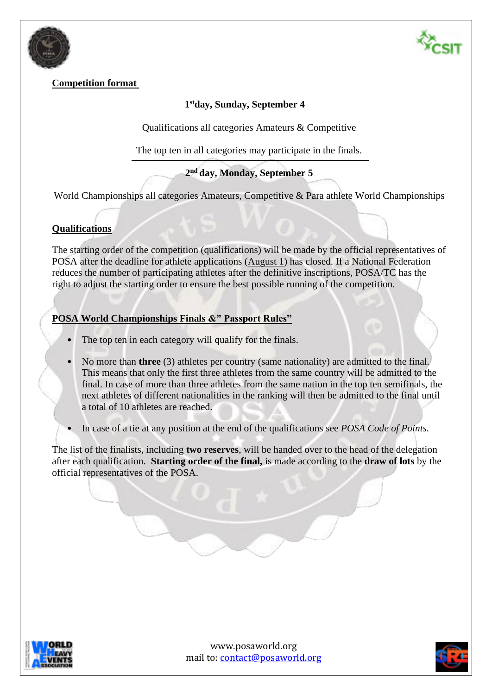



# **Competition format**

# **1 stday, Sunday, September 4**

Qualifications all categories Amateurs & Competitive

The top ten in all categories may participate in the finals.

# **2 nd day, Monday, September 5**

World Championships all categories Amateurs, Competitive & Para athlete World Championships

# **Qualifications**

The starting order of the competition (qualifications) will be made by the official representatives of POSA after the deadline for athlete applications (August 1) has closed. If a National Federation reduces the number of participating athletes after the definitive inscriptions, POSA/TC has the right to adjust the starting order to ensure the best possible running of the competition.

### **POSA World Championships Finals &" Passport Rules"**

- The top ten in each category will qualify for the finals.
- No more than **three** (3) athletes per country (same nationality) are admitted to the final. This means that only the first three athletes from the same country will be admitted to the final. In case of more than three athletes from the same nation in the top ten semifinals, the next athletes of different nationalities in the ranking will then be admitted to the final until a total of 10 athletes are reached.
- In case of a tie at any position at the end of the qualifications see *POSA Code of Points.*

The list of the finalists, including **two reserves**, will be handed over to the head of the delegation after each qualification. **Starting order of the final,** is made according to the **draw of lots** by the official representatives of the POSA.



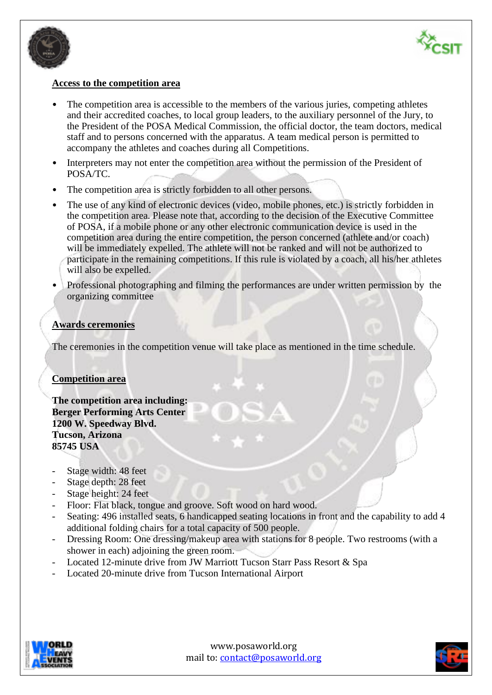



#### **Access to the competition area**

- The competition area is accessible to the members of the various juries, competing athletes and their accredited coaches, to local group leaders, to the auxiliary personnel of the Jury, to the President of the POSA Medical Commission, the official doctor, the team doctors, medical staff and to persons concerned with the apparatus. A team medical person is permitted to accompany the athletes and coaches during all Competitions.
- Interpreters may not enter the competition area without the permission of the President of POSA/TC.
- The competition area is strictly forbidden to all other persons.
- The use of any kind of electronic devices (video, mobile phones, etc.) is strictly forbidden in the competition area. Please note that, according to the decision of the Executive Committee of POSA, if a mobile phone or any other electronic communication device is used in the competition area during the entire competition, the person concerned (athlete and/or coach) will be immediately expelled. The athlete will not be ranked and will not be authorized to participate in the remaining competitions. If this rule is violated by a coach, all his/her athletes will also be expelled.
- Professional photographing and filming the performances are under written permission by the organizing committee

#### **Awards ceremonies**

The ceremonies in the competition venue will take place as mentioned in the time schedule.

#### **Competition area**

**The competition area including: Berger Performing Arts Center 1200 W. Speedway Blvd. Tucson, Arizona 85745 USA**

- Stage width: 48 feet
- Stage depth: 28 feet
- Stage height: 24 feet
- Floor: Flat black, tongue and groove. Soft wood on hard wood.
- Seating: 496 installed seats, 6 handicapped seating locations in front and the capability to add 4 additional folding chairs for a total capacity of 500 people.
- Dressing Room: One dressing/makeup area with stations for 8 people. Two restrooms (with a shower in each) adjoining the green room.
- Located 12-minute drive from JW Marriott Tucson Starr Pass Resort & Spa
- Located 20-minute drive from Tucson International Airport



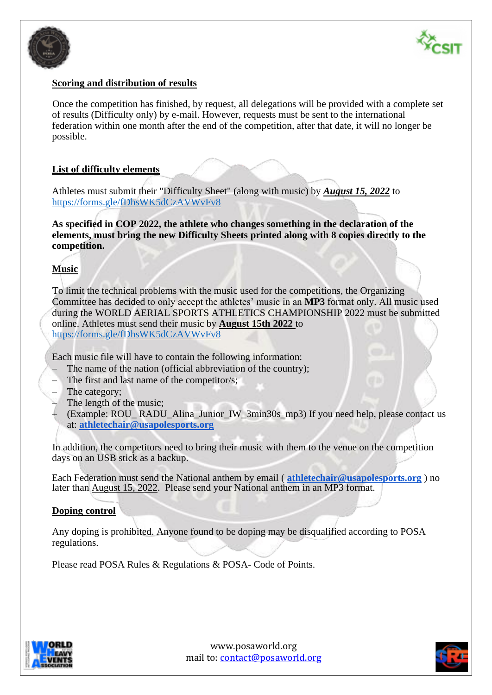



#### **Scoring and distribution of results**

Once the competition has finished, by request, all delegations will be provided with a complete set of results (Difficulty only) by e-mail. However, requests must be sent to the international federation within one month after the end of the competition, after that date, it will no longer be possible.

#### **List of difficulty elements**

Athletes must submit their "Difficulty Sheet" (along with music) by *August 15, 2022* to <https://forms.gle/fDhsWK5dCzAVWvFv8>

**As specified in COP 2022, the athlete who changes something in the declaration of the elements, must bring the new Difficulty Sheets printed along with 8 copies directly to the competition.**

#### **Music**

To limit the technical problems with the music used for the competitions, the Organizing Committee has decided to only accept the athletes' music in an **MP3** format only. All music used during the WORLD AERIAL SPORTS ATHLETICS CHAMPIONSHIP 2022 must be submitted online. Athletes must send their music by **August 15th 2022** to <https://forms.gle/fDhsWK5dCzAVWvFv8>

Each music file will have to contain the following information:

- The name of the nation (official abbreviation of the country);
- The first and last name of the competitor/s;
- The category;
- The length of the music;
- (Example: ROU\_ RADU\_Alina\_Junior\_IW\_3min30s\_mp3) If you need help, please contact us at: **[athletechair@usapolesports.org](mailto:athletechair@usapolesports.org)**

In addition, the competitors need to bring their music with them to the venue on the competition days on an USB stick as a backup.

Each Federation must send the National anthem by email ( **[athletechair@usapolesports.org](mailto:athletechair@usapolesports.org)** ) no later than August 15, 2022. Please send your National anthem in an MP3 format.

#### **Doping control**

Any doping is prohibited. Anyone found to be doping may be disqualified according to POSA regulations.

Please read POSA Rules & Regulations & POSA- Code of Points.



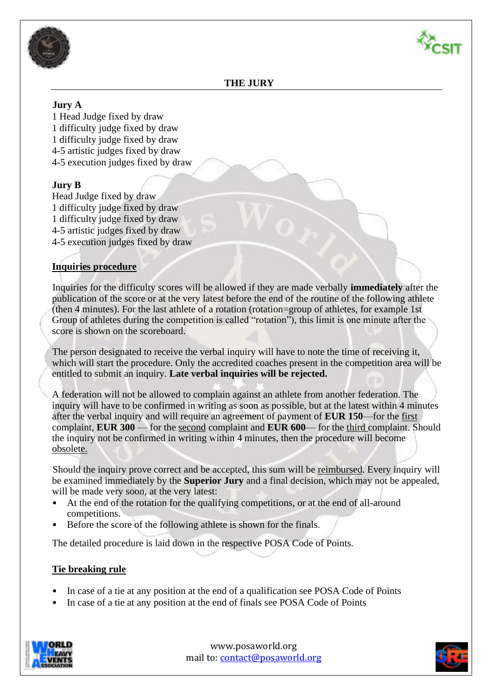



#### **THE JURY**

#### **Jury A**

1 Head Judge fixed by draw 1 difficulty judge fixed by draw 1 difficulty judge fixed by draw 4-5 artistic judges fixed by draw 4-5 execution judges fixed by draw

#### **Jury B**

Head Judge fixed by draw 1 difficulty judge fixed by draw 1 difficulty judge fixed by draw 4-5 artistic judges fixed by draw 4-5 execution judges fixed by draw

#### **Inquiries procedure**

Inquiries for the difficulty scores will be allowed if they are made verbally **immediately** after the publication of the score or at the very latest before the end of the routine of the following athlete (then 4 minutes). For the last athlete of a rotation (rotation=group of athletes, for example 1st Group of athletes during the competition is called "rotation"), this limit is one minute after the score is shown on the scoreboard.

The person designated to receive the verbal inquiry will have to note the time of receiving it, which will start the procedure. Only the accredited coaches present in the competition area will be entitled to submit an inquiry. **Late verbal inquiries will be rejected.**

A federation will not be allowed to complain against an athlete from another federation. The inquiry will have to be confirmed in writing as soon as possible, but at the latest within 4 minutes after the verbal inquiry and will require an agreement of payment of **EUR 150**—for the first complaint, **EUR 300** — for the second complaint and **EUR 600**— for the third complaint. Should the inquiry not be confirmed in writing within 4 minutes, then the procedure will become obsolete.

Should the inquiry prove correct and be accepted, this sum will be reimbursed. Every inquiry will be examined immediately by the **Superior Jury** and a final decision, which may not be appealed, will be made very soon, at the very latest:

- At the end of the rotation for the qualifying competitions, or at the end of all-around competitions.
- Before the score of the following athlete is shown for the finals.

The detailed procedure is laid down in the respective POSA Code of Points.

#### **Tie breaking rule**

- In case of a tie at any position at the end of a qualification see POSA Code of Points
- In case of a tie at any position at the end of finals see POSA Code of Points



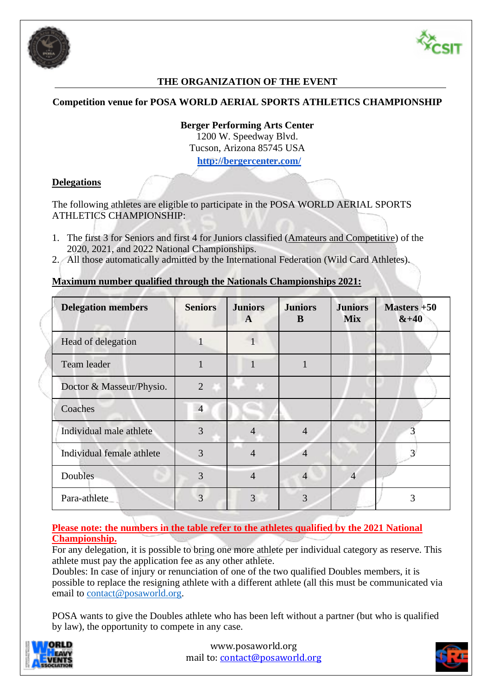



# **THE ORGANIZATION OF THE EVENT**

#### **Competition venue for POSA WORLD AERIAL SPORTS ATHLETICS CHAMPIONSHIP**

**Berger Performing Arts Center** 1200 W. Speedway Blvd. Tucson, Arizona 85745 USA **<http://bergercenter.com/>**

#### **Delegations**

The following athletes are eligible to participate in the POSA WORLD AERIAL SPORTS ATHLETICS CHAMPIONSHIP:

- 1. The first 3 for Seniors and first 4 for Juniors classified (Amateurs and Competitive) of the 2020, 2021, and 2022 National Championships.
- 2. All those automatically admitted by the International Federation (Wild Card Athletes).

#### **Maximum number qualified through the Nationals Championships 2021:**

| <b>Delegation members</b> | <b>Seniors</b> | <b>Juniors</b><br>$\mathbf{A}$ | <b>Juniors</b><br>B | <b>Juniors</b><br><b>Mix</b> | Masters $+50$<br>$&+40$ |
|---------------------------|----------------|--------------------------------|---------------------|------------------------------|-------------------------|
| Head of delegation        |                |                                |                     |                              |                         |
| Team leader               |                |                                | 1                   |                              |                         |
| Doctor & Masseur/Physio.  | $\overline{2}$ |                                |                     |                              |                         |
| Coaches                   | $\overline{4}$ |                                |                     |                              |                         |
| Individual male athlete   | 3              |                                | $\overline{4}$      |                              |                         |
| Individual female athlete | 3              | 4                              | $\overline{4}$      |                              | 3                       |
| Doubles                   | 3              | $\overline{4}$                 | $\overline{4}$      | $\overline{4}$               |                         |
| Para-athlete              | 3              | 3                              | 3                   |                              | 3                       |

**Please note: the numbers in the table refer to the athletes qualified by the 2021 National Championship.**

For any delegation, it is possible to bring one more athlete per individual category as reserve. This athlete must pay the application fee as any other athlete.

Doubles: In case of injury or renunciation of one of the two qualified Doubles members, it is possible to replace the resigning athlete with a different athlete (all this must be communicated via email to [contact@posaworld.org.](mailto:contact@posaworld.org)

POSA wants to give the Doubles athlete who has been left without a partner (but who is qualified by law), the opportunity to compete in any case.



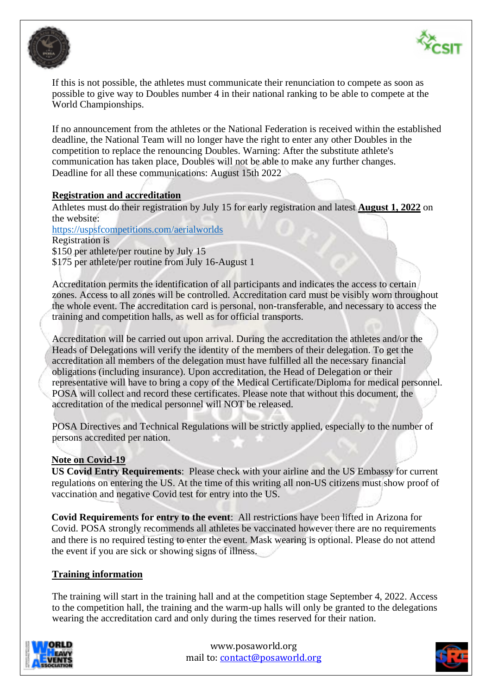



If this is not possible, the athletes must communicate their renunciation to compete as soon as possible to give way to Doubles number 4 in their national ranking to be able to compete at the World Championships.

If no announcement from the athletes or the National Federation is received within the established deadline, the National Team will no longer have the right to enter any other Doubles in the competition to replace the renouncing Doubles. Warning: After the substitute athlete's communication has taken place, Doubles will not be able to make any further changes. Deadline for all these communications: August 15th 2022

#### **Registration and accreditation**

Athletes must do their registration by July 15 for early registration and latest **August 1, 2022** on the website:

<https://uspsfcompetitions.com/aerialworlds> Registration is \$150 per athlete/per routine by July 15

\$175 per athlete/per routine from July 16-August 1

Accreditation permits the identification of all participants and indicates the access to certain zones. Access to all zones will be controlled. Accreditation card must be visibly worn throughout the whole event. The accreditation card is personal, non-transferable, and necessary to access the training and competition halls, as well as for official transports.

Accreditation will be carried out upon arrival. During the accreditation the athletes and/or the Heads of Delegations will verify the identity of the members of their delegation. To get the accreditation all members of the delegation must have fulfilled all the necessary financial obligations (including insurance). Upon accreditation, the Head of Delegation or their representative will have to bring a copy of the Medical Certificate/Diploma for medical personnel. POSA will collect and record these certificates. Please note that without this document, the accreditation of the medical personnel will NOT be released.

POSA Directives and Technical Regulations will be strictly applied, especially to the number of persons accredited per nation.

#### **Note on Covid-19**

**US Covid Entry Requirements**: Please check with your airline and the US Embassy for current regulations on entering the US. At the time of this writing all non-US citizens must show proof of vaccination and negative Covid test for entry into the US.

**Covid Requirements for entry to the event**: All restrictions have been lifted in Arizona for Covid. POSA strongly recommends all athletes be vaccinated however there are no requirements and there is no required testing to enter the event. Mask wearing is optional. Please do not attend the event if you are sick or showing signs of illness.

#### **Training information**

The training will start in the training hall and at the competition stage September 4, 2022. Access to the competition hall, the training and the warm-up halls will only be granted to the delegations wearing the accreditation card and only during the times reserved for their nation.



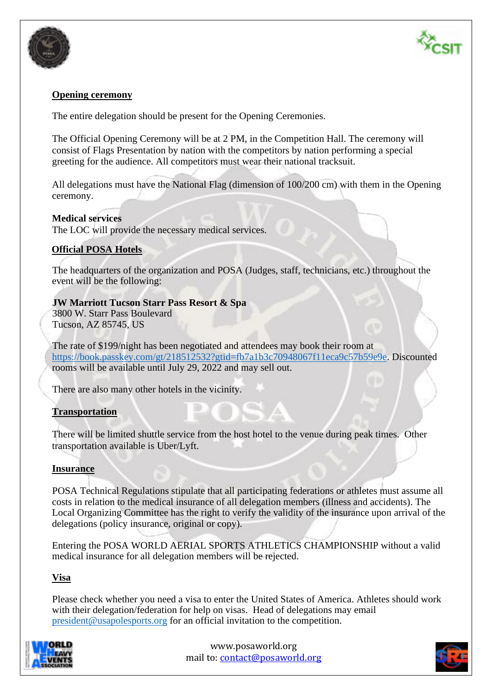



#### **Opening ceremony**

The entire delegation should be present for the Opening Ceremonies.

The Official Opening Ceremony will be at 2 PM, in the Competition Hall. The ceremony will consist of Flags Presentation by nation with the competitors by nation performing a special greeting for the audience. All competitors must wear their national tracksuit.

All delegations must have the National Flag (dimension of 100/200 cm) with them in the Opening ceremony.

#### **Medical services**

The LOC will provide the necessary medical services.

#### **Official POSA Hotels**

The headquarters of the organization and POSA (Judges, staff, technicians, etc.) throughout the event will be the following:

#### **JW Marriott Tucson Starr Pass Resort & Spa**

3800 W. Starr Pass Boulevard Tucson, AZ 85745, US

The rate of \$199/night has been negotiated and attendees may book their room at [https://book.passkey.com/gt/218512532?gtid=fb7a1b3c70948067f11eca9c57b59e9e.](https://book.passkey.com/gt/218512532?gtid=fb7a1b3c70948067f11eca9c57b59e9e) Discounted rooms will be available until July 29, 2022 and may sell out.

There are also many other hotels in the vicinity.

#### **Transportation**

There will be limited shuttle service from the host hotel to the venue during peak times. Other transportation available is Uber/Lyft.

#### **Insurance**

POSA Technical Regulations stipulate that all participating federations or athletes must assume all costs in relation to the medical insurance of all delegation members (illness and accidents). The Local Organizing Committee has the right to verify the validity of the insurance upon arrival of the delegations (policy insurance, original or copy).

Entering the POSA WORLD AERIAL SPORTS ATHLETICS CHAMPIONSHIP without a valid medical insurance for all delegation members will be rejected.

#### **Visa**

Please check whether you need a visa to enter the United States of America. Athletes should work with their delegation/federation for help on visas. Head of delegations may email [president@usapolesports.org](mailto:president@usapolesports.org) for an official invitation to the competition.



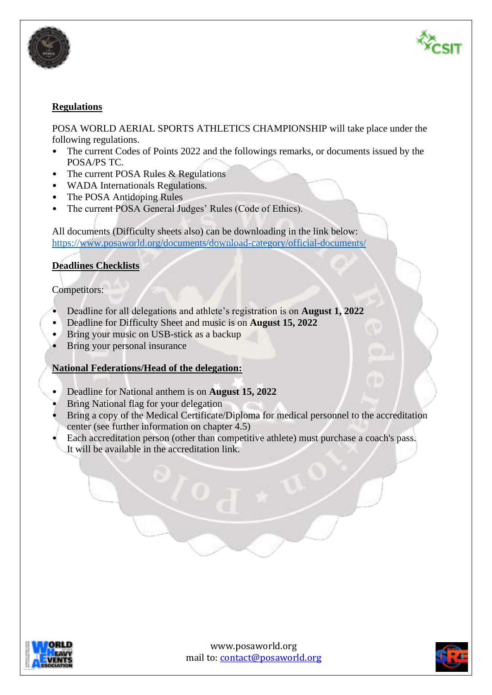



#### **Regulations**

POSA WORLD AERIAL SPORTS ATHLETICS CHAMPIONSHIP will take place under the following regulations.

- The current Codes of Points 2022 and the followings remarks, or documents issued by the POSA/PS TC.
- The current POSA Rules & Regulations
- WADA Internationals Regulations.
- The POSA Antidoping Rules
- The current POSA General Judges' Rules (Code of Ethics).

All documents (Difficulty sheets also) can be downloading in the link below: <https://www.posaworld.org/documents/download-category/official-documents/>

#### **Deadlines Checklists**

#### Competitors:

- Deadline for all delegations and athlete's registration is on **August 1, 2022**
- Deadline for Difficulty Sheet and music is on **August 15, 2022**
- Bring your music on USB-stick as a backup
- Bring your personal insurance

#### **National Federations/Head of the delegation:**

- Deadline for National anthem is on **August 15, 2022**
- Bring National flag for your delegation
- Bring a copy of the Medical Certificate/Diploma for medical personnel to the accreditation center (see further information on chapter 4.5)
- Each accreditation person (other than competitive athlete) must purchase a coach's pass. It will be available in the accreditation link.



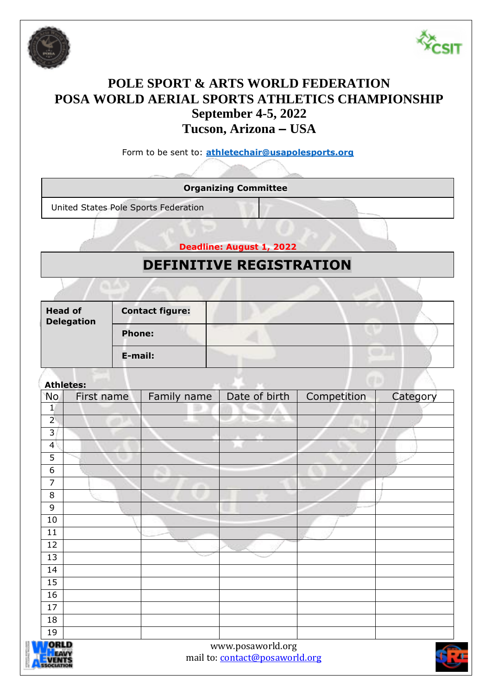



# **POLE SPORT & ARTS WORLD FEDERATION POSA WORLD AERIAL SPORTS ATHLETICS CHAMPIONSHIP September 4-5, 2022 Tucson, Arizona – USA**

Form to be sent to: **[athletechair@usapolesports.org](mailto:athletechair@usapolesports.org)**

**Organizing Committee**

United States Pole Sports Federation

**Deadline: August 1, 2022**

# **DEFINITIVE REGISTRATION**

| <b>Head of</b><br><b>Delegation</b> | <b>Contact figure:</b> |  |  |
|-------------------------------------|------------------------|--|--|
|                                     | <b>Phone:</b>          |  |  |
|                                     | E-mail:                |  |  |

**Athletes:**

| No             | First name | Family name | Date of birth     | Competition | Category |
|----------------|------------|-------------|-------------------|-------------|----------|
| $\mathbf{1}$   |            |             |                   |             |          |
| $\overline{2}$ |            |             |                   |             |          |
| 3              |            |             |                   |             |          |
| $\overline{4}$ |            |             |                   |             |          |
| 5              |            |             |                   |             |          |
| 6              |            |             |                   |             |          |
| $\overline{7}$ |            |             |                   |             |          |
| 8              |            |             |                   |             |          |
| 9              |            |             |                   |             |          |
| $10\,$         |            |             |                   |             |          |
| 11             |            |             |                   |             |          |
| 12             |            |             |                   |             |          |
| 13             |            | - -         |                   |             |          |
| 14             |            |             |                   |             |          |
| 15             |            |             |                   |             |          |
| 16             |            |             |                   |             |          |
| 17             |            |             |                   |             |          |
| 18             |            |             |                   |             |          |
| 19             |            |             |                   |             |          |
| ORLD           |            |             | www.posaworld.org |             | Æ        |



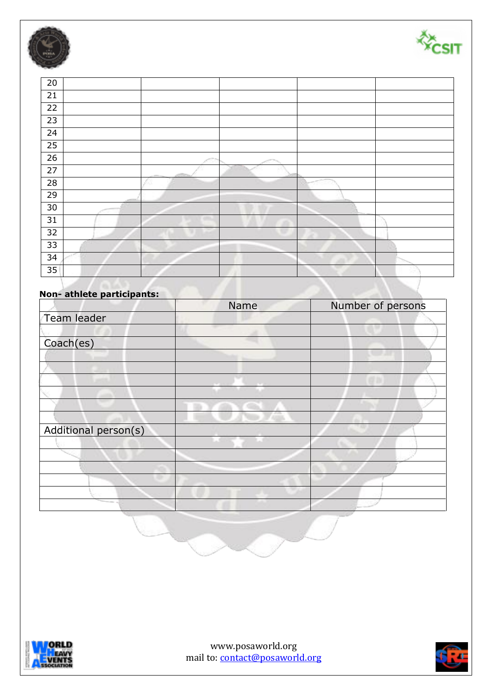



| 20 |                          |    |  |
|----|--------------------------|----|--|
| 21 |                          |    |  |
| 22 |                          |    |  |
| 23 |                          |    |  |
| 24 |                          |    |  |
| 25 |                          |    |  |
| 26 |                          | 56 |  |
| 27 |                          |    |  |
| 28 |                          |    |  |
| 29 |                          |    |  |
| 30 |                          |    |  |
| 31 | $\overline{\phantom{a}}$ |    |  |
| 32 |                          |    |  |
| 33 |                          |    |  |
| 34 |                          |    |  |
| 35 |                          |    |  |

# **Non- athlete participants:**

|                      | Name | Number of persons |
|----------------------|------|-------------------|
| Team leader          |      |                   |
|                      |      |                   |
| Coach(es)            |      |                   |
|                      |      |                   |
|                      |      |                   |
|                      |      |                   |
|                      |      |                   |
|                      |      |                   |
|                      |      |                   |
| Additional person(s) |      |                   |
|                      |      |                   |
|                      |      |                   |
|                      |      |                   |
|                      |      |                   |
|                      |      |                   |
|                      |      |                   |